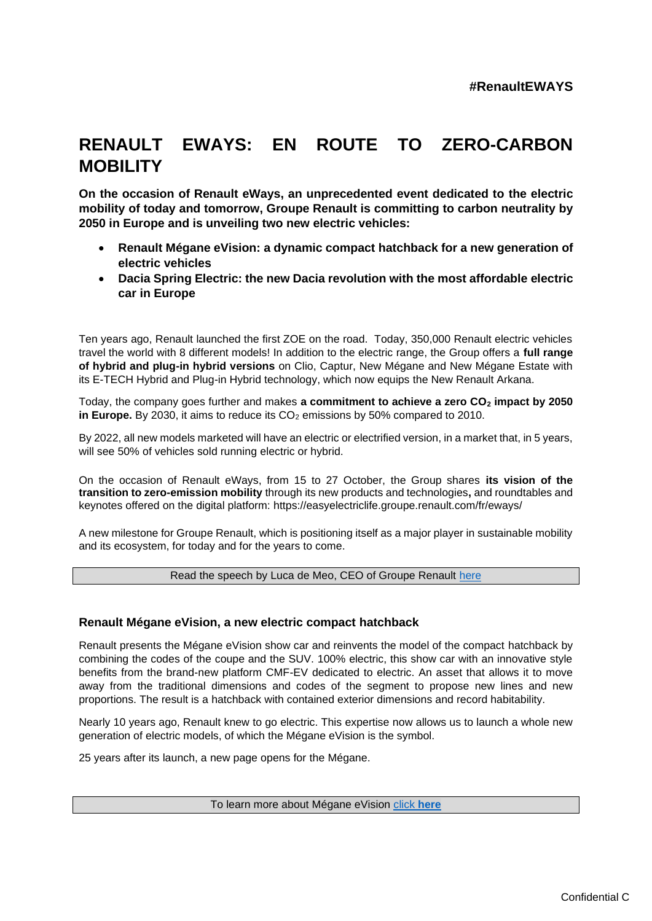# **RENAULT EWAYS: EN ROUTE TO ZERO-CARBON MOBILITY**

**On the occasion of Renault eWays, an unprecedented event dedicated to the electric mobility of today and tomorrow, Groupe Renault is committing to carbon neutrality by 2050 in Europe and is unveiling two new electric vehicles:**

- **Renault Mégane eVision: a dynamic compact hatchback for a new generation of electric vehicles**
- **Dacia Spring Electric: the new Dacia revolution with the most affordable electric car in Europe**

Ten years ago, Renault launched the first ZOE on the road. Today, 350,000 Renault electric vehicles travel the world with 8 different models! In addition to the electric range, the Group offers a **full range of hybrid and plug-in hybrid versions** on Clio, Captur, New Mégane and New Mégane Estate with its E-TECH Hybrid and Plug-in Hybrid technology, which now equips the New Renault Arkana.

Today, the company goes further and makes **a commitment to achieve a zero CO<sup>2</sup> impact by 2050 in Europe.** By 2030, it aims to reduce its CO<sub>2</sub> emissions by 50% compared to 2010.

By 2022, all new models marketed will have an electric or electrified version, in a market that, in 5 years, will see 50% of vehicles sold running electric or hybrid.

On the occasion of Renault eWays, from 15 to 27 October, the Group shares **its vision of the transition to zero-emission mobility** through its new products and technologies**,** and roundtables and keynotes offered on the digital platform: https://easyelectriclife.groupe.renault.com/fr/eways/

A new milestone for Groupe Renault, which is positioning itself as a major player in sustainable mobility and its ecosystem, for today and for the years to come.

#### Read the speech by Luca de Meo, CEO of Groupe Renault [here](https://en.media.groupe.renault.com/assets/renault-eways-speech-40ed-989c5.html)

## **Renault Mégane eVision, a new electric compact hatchback**

Renault presents the Mégane eVision show car and reinvents the model of the compact hatchback by combining the codes of the coupe and the SUV. 100% electric, this show car with an innovative style benefits from the brand-new platform CMF-EV dedicated to electric. An asset that allows it to move away from the traditional dimensions and codes of the segment to propose new lines and new proportions. The result is a hatchback with contained exterior dimensions and record habitability.

Nearly 10 years ago, Renault knew to go electric. This expertise now allows us to launch a whole new generation of electric models, of which the Mégane eVision is the symbol.

25 years after its launch, a new page opens for the Mégane.

To learn more about Mégane eVision [click](https://en.media.groupe.renault.com/news/megane-evision-the-future-of-the-electric-car-08da-989c5.html) **here**